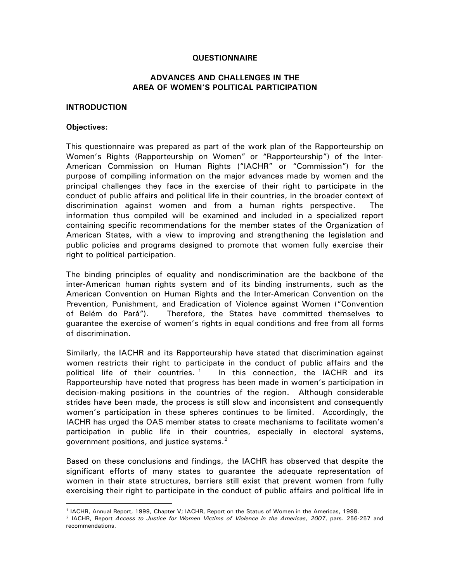#### **QUESTIONNAIRE**

## **ADVANCES AND CHALLENGES IN THE AREA OF WOMEN'S POLITICAL PARTICIPATION**

### **INTRODUCTION**

#### **Objectives:**

 $\overline{a}$ 

This questionnaire was prepared as part of the work plan of the Rapporteurship on Women's Rights (Rapporteurship on Women" or "Rapporteurship") of the Inter-American Commission on Human Rights ("IACHR" or "Commission") for the purpose of compiling information on the major advances made by women and the principal challenges they face in the exercise of their right to participate in the conduct of public affairs and political life in their countries, in the broader context of discrimination against women and from a human rights perspective. The information thus compiled will be examined and included in a specialized report containing specific recommendations for the member states of the Organization of American States, with a view to improving and strengthening the legislation and public policies and programs designed to promote that women fully exercise their right to political participation.

The binding principles of equality and nondiscrimination are the backbone of the inter-American human rights system and of its binding instruments, such as the American Convention on Human Rights and the Inter-American Convention on the Prevention, Punishment, and Eradication of Violence against Women ("Convention of Belém do Pará"). Therefore, the States have committed themselves to guarantee the exercise of women's rights in equal conditions and free from all forms of discrimination.

Similarly, the IACHR and its Rapporteurship have stated that discrimination against women restricts their right to participate in the conduct of public affairs and the political life of their countries.<sup>[1](#page-0-0)</sup> In this connection, the IACHR and its Rapporteurship have noted that progress has been made in women's participation in decision-making positions in the countries of the region. Although considerable strides have been made, the process is still slow and inconsistent and consequently women's participation in these spheres continues to be limited. Accordingly, the IACHR has urged the OAS member states to create mechanisms to facilitate women's participation in public life in their countries, especially in electoral systems, government positions, and justice systems. $2$ 

Based on these conclusions and findings, the IACHR has observed that despite the significant efforts of many states to guarantee the adequate representation of women in their state structures, barriers still exist that prevent women from fully exercising their right to participate in the conduct of public affairs and political life in

<sup>1</sup> IACHR, Annual Report, 1999, Chapter V; IACHR, Report on the Status of Women in the Americas, 1998.

<span id="page-0-1"></span><span id="page-0-0"></span><sup>2</sup> IACHR, Report *Access to Justice for Women Victims of Violence in the Americas, 2007*, pars. 256-257 and recommendations.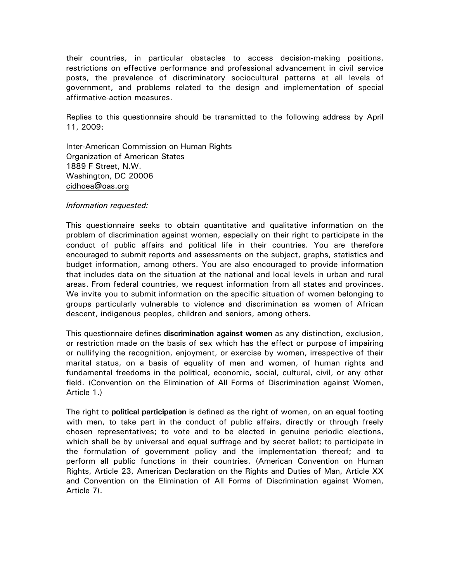their countries, in particular obstacles to access decision-making positions, restrictions on effective performance and professional advancement in civil service posts, the prevalence of discriminatory sociocultural patterns at all levels of government, and problems related to the design and implementation of special affirmative-action measures.

Replies to this questionnaire should be transmitted to the following address by April 11, 2009:

Inter-American Commission on Human Rights Organization of American States 1889 F Street, N.W. Washington, DC 20006 [cidhoea@oas.org](mailto:cidhoea@oas.org)

### *Information requested:*

This questionnaire seeks to obtain quantitative and qualitative information on the problem of discrimination against women, especially on their right to participate in the conduct of public affairs and political life in their countries. You are therefore encouraged to submit reports and assessments on the subject, graphs, statistics and budget information, among others. You are also encouraged to provide information that includes data on the situation at the national and local levels in urban and rural areas. From federal countries, we request information from all states and provinces. We invite you to submit information on the specific situation of women belonging to groups particularly vulnerable to violence and discrimination as women of African descent, indigenous peoples, children and seniors, among others.

This questionnaire defines **discrimination against women** as any distinction, exclusion, or restriction made on the basis of sex which has the effect or purpose of impairing or nullifying the recognition, enjoyment, or exercise by women, irrespective of their marital status, on a basis of equality of men and women, of human rights and fundamental freedoms in the political, economic, social, cultural, civil, or any other field. (Convention on the Elimination of All Forms of Discrimination against Women, Article 1.)

The right to **political participation** is defined as the right of women, on an equal footing with men, to take part in the conduct of public affairs, directly or through freely chosen representatives; to vote and to be elected in genuine periodic elections, which shall be by universal and equal suffrage and by secret ballot; to participate in the formulation of government policy and the implementation thereof; and to perform all public functions in their countries. (American Convention on Human Rights, Article 23, American Declaration on the Rights and Duties of Man, Article XX and Convention on the Elimination of All Forms of Discrimination against Women, Article 7).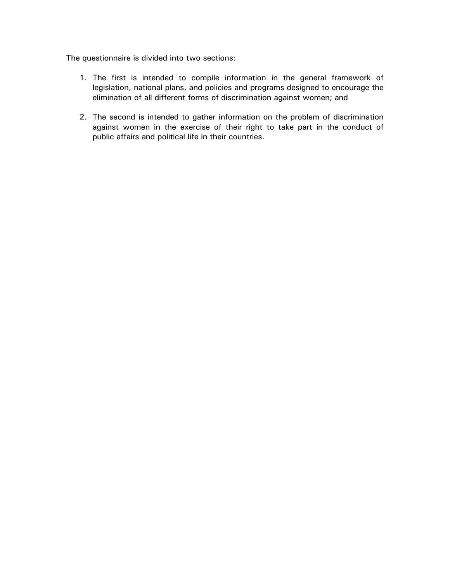The questionnaire is divided into two sections:

- 1. The first is intended to compile information in the general framework of legislation, national plans, and policies and programs designed to encourage the elimination of all different forms of discrimination against women; and
- 2. The second is intended to gather information on the problem of discrimination against women in the exercise of their right to take part in the conduct of public affairs and political life in their countries.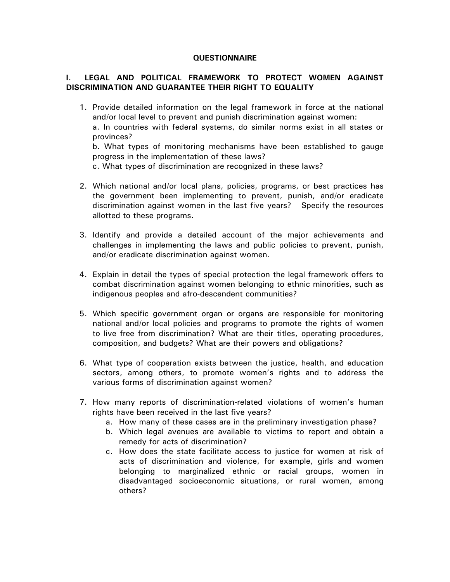### **QUESTIONNAIRE**

# **I. LEGAL AND POLITICAL FRAMEWORK TO PROTECT WOMEN AGAINST DISCRIMINATION AND GUARANTEE THEIR RIGHT TO EQUALITY**

1. Provide detailed information on the legal framework in force at the national and/or local level to prevent and punish discrimination against women:

a. In countries with federal systems, do similar norms exist in all states or provinces?

b. What types of monitoring mechanisms have been established to gauge progress in the implementation of these laws?

c. What types of discrimination are recognized in these laws?

- 2. Which national and/or local plans, policies, programs, or best practices has the government been implementing to prevent, punish, and/or eradicate discrimination against women in the last five years? Specify the resources allotted to these programs.
- 3. Identify and provide a detailed account of the major achievements and challenges in implementing the laws and public policies to prevent, punish, and/or eradicate discrimination against women.
- 4. Explain in detail the types of special protection the legal framework offers to combat discrimination against women belonging to ethnic minorities, such as indigenous peoples and afro-descendent communities?
- 5. Which specific government organ or organs are responsible for monitoring national and/or local policies and programs to promote the rights of women to live free from discrimination? What are their titles, operating procedures, composition, and budgets? What are their powers and obligations?
- 6. What type of cooperation exists between the justice, health, and education sectors, among others, to promote women's rights and to address the various forms of discrimination against women?
- 7. How many reports of discrimination-related violations of women's human rights have been received in the last five years?
	- a. How many of these cases are in the preliminary investigation phase?
	- b. Which legal avenues are available to victims to report and obtain a remedy for acts of discrimination?
	- c. How does the state facilitate access to justice for women at risk of acts of discrimination and violence, for example, girls and women belonging to marginalized ethnic or racial groups, women in disadvantaged socioeconomic situations, or rural women, among others?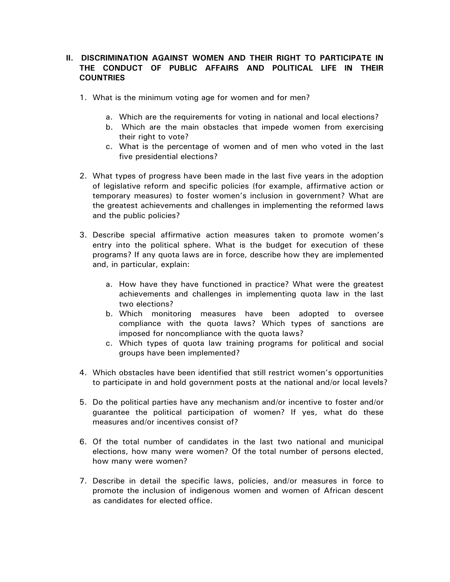# **II. DISCRIMINATION AGAINST WOMEN AND THEIR RIGHT TO PARTICIPATE IN THE CONDUCT OF PUBLIC AFFAIRS AND POLITICAL LIFE IN THEIR COUNTRIES**

- 1. What is the minimum voting age for women and for men?
	- a. Which are the requirements for voting in national and local elections?
	- b. Which are the main obstacles that impede women from exercising their right to vote?
	- c. What is the percentage of women and of men who voted in the last five presidential elections?
- 2. What types of progress have been made in the last five years in the adoption of legislative reform and specific policies (for example, affirmative action or temporary measures) to foster women's inclusion in government? What are the greatest achievements and challenges in implementing the reformed laws and the public policies?
- 3. Describe special affirmative action measures taken to promote women's entry into the political sphere. What is the budget for execution of these programs? If any quota laws are in force, describe how they are implemented and, in particular, explain:
	- a. How have they have functioned in practice? What were the greatest achievements and challenges in implementing quota law in the last two elections?
	- b. Which monitoring measures have been adopted to oversee compliance with the quota laws? Which types of sanctions are imposed for noncompliance with the quota laws?
	- c. Which types of quota law training programs for political and social groups have been implemented?
- 4. Which obstacles have been identified that still restrict women's opportunities to participate in and hold government posts at the national and/or local levels?
- 5. Do the political parties have any mechanism and/or incentive to foster and/or guarantee the political participation of women? If yes, what do these measures and/or incentives consist of?
- 6. Of the total number of candidates in the last two national and municipal elections, how many were women? Of the total number of persons elected, how many were women?
- 7. Describe in detail the specific laws, policies, and/or measures in force to promote the inclusion of indigenous women and women of African descent as candidates for elected office.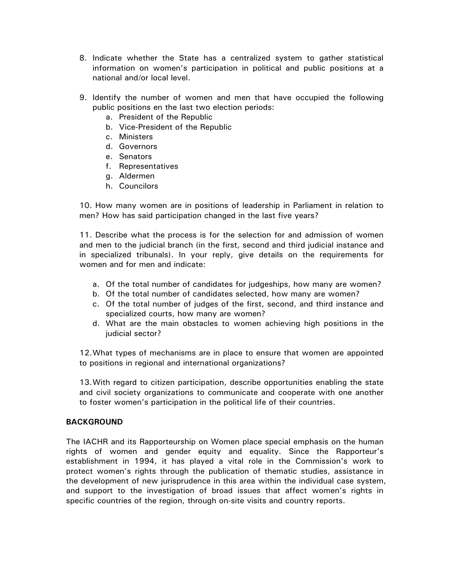- 8. Indicate whether the State has a centralized system to gather statistical information on women's participation in political and public positions at a national and/or local level.
- 9. Identify the number of women and men that have occupied the following public positions en the last two election periods:
	- a. President of the Republic
	- b. Vice-President of the Republic
	- c. Ministers
	- d. Governors
	- e. Senators
	- f. Representatives
	- g. Aldermen
	- h. Councilors

10. How many women are in positions of leadership in Parliament in relation to men? How has said participation changed in the last five years?

11. Describe what the process is for the selection for and admission of women and men to the judicial branch (in the first, second and third judicial instance and in specialized tribunals). In your reply, give details on the requirements for women and for men and indicate:

- a. Of the total number of candidates for judgeships, how many are women?
- b. Of the total number of candidates selected, how many are women?
- c. Of the total number of judges of the first, second, and third instance and specialized courts, how many are women?
- d. What are the main obstacles to women achieving high positions in the judicial sector?

12.What types of mechanisms are in place to ensure that women are appointed to positions in regional and international organizations?

13.With regard to citizen participation, describe opportunities enabling the state and civil society organizations to communicate and cooperate with one another to foster women's participation in the political life of their countries.

## **BACKGROUND**

The IACHR and its Rapporteurship on Women place special emphasis on the human rights of women and gender equity and equality. Since the Rapporteur's establishment in 1994, it has played a vital role in the Commission's work to protect women's rights through the publication of thematic studies, assistance in the development of new jurisprudence in this area within the individual case system, and support to the investigation of broad issues that affect women's rights in specific countries of the region, through on-site visits and country reports.